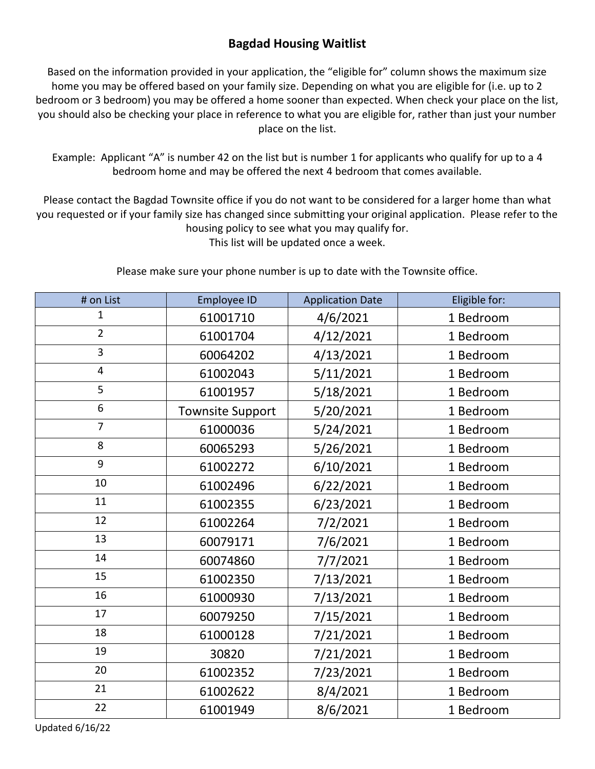## **Bagdad Housing Waitlist**

Based on the information provided in your application, the "eligible for" column shows the maximum size home you may be offered based on your family size. Depending on what you are eligible for (i.e. up to 2 bedroom or 3 bedroom) you may be offered a home sooner than expected. When check your place on the list, you should also be checking your place in reference to what you are eligible for, rather than just your number place on the list.

Example: Applicant "A" is number 42 on the list but is number 1 for applicants who qualify for up to a 4 bedroom home and may be offered the next 4 bedroom that comes available.

Please contact the Bagdad Townsite office if you do not want to be considered for a larger home than what you requested or if your family size has changed since submitting your original application. Please refer to the housing policy to see what you may qualify for. This list will be updated once a week.

Please make sure your phone number is up to date with the Townsite office.

| # on List               | <b>Employee ID</b>      | <b>Application Date</b> | Eligible for: |
|-------------------------|-------------------------|-------------------------|---------------|
| $\overline{1}$          | 61001710                | 4/6/2021                | 1 Bedroom     |
| $\overline{2}$          | 61001704                | 4/12/2021               | 1 Bedroom     |
| 3                       | 60064202                | 4/13/2021               | 1 Bedroom     |
| $\overline{\mathbf{4}}$ | 61002043                | 5/11/2021               | 1 Bedroom     |
| 5                       | 61001957                | 5/18/2021               | 1 Bedroom     |
| 6                       | <b>Townsite Support</b> | 5/20/2021               | 1 Bedroom     |
| $\overline{7}$          | 61000036                | 5/24/2021               | 1 Bedroom     |
| 8                       | 60065293                | 5/26/2021               | 1 Bedroom     |
| 9                       | 61002272                | 6/10/2021               | 1 Bedroom     |
| 10                      | 61002496                | 6/22/2021               | 1 Bedroom     |
| 11                      | 61002355                | 6/23/2021               | 1 Bedroom     |
| 12                      | 61002264                | 7/2/2021                | 1 Bedroom     |
| 13                      | 60079171                | 7/6/2021                | 1 Bedroom     |
| 14                      | 60074860                | 7/7/2021                | 1 Bedroom     |
| 15                      | 61002350                | 7/13/2021               | 1 Bedroom     |
| 16                      | 61000930                | 7/13/2021               | 1 Bedroom     |
| 17                      | 60079250                | 7/15/2021               | 1 Bedroom     |
| 18                      | 61000128                | 7/21/2021               | 1 Bedroom     |
| 19                      | 30820                   | 7/21/2021               | 1 Bedroom     |
| 20                      | 61002352                | 7/23/2021               | 1 Bedroom     |
| 21                      | 61002622                | 8/4/2021                | 1 Bedroom     |
| 22                      | 61001949                | 8/6/2021                | 1 Bedroom     |

Updated 6/16/22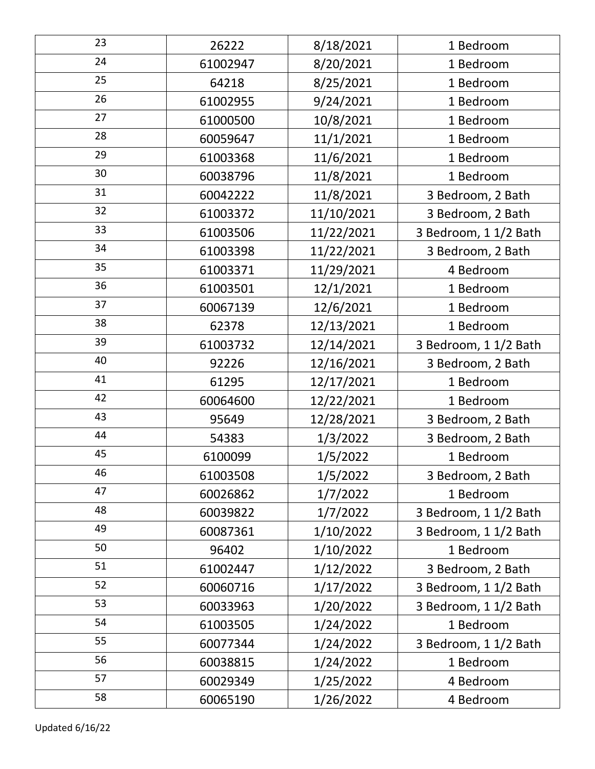| 23 | 26222    | 8/18/2021  | 1 Bedroom             |
|----|----------|------------|-----------------------|
| 24 | 61002947 | 8/20/2021  | 1 Bedroom             |
| 25 | 64218    | 8/25/2021  | 1 Bedroom             |
| 26 | 61002955 | 9/24/2021  | 1 Bedroom             |
| 27 | 61000500 | 10/8/2021  | 1 Bedroom             |
| 28 | 60059647 | 11/1/2021  | 1 Bedroom             |
| 29 | 61003368 | 11/6/2021  | 1 Bedroom             |
| 30 | 60038796 | 11/8/2021  | 1 Bedroom             |
| 31 | 60042222 | 11/8/2021  | 3 Bedroom, 2 Bath     |
| 32 | 61003372 | 11/10/2021 | 3 Bedroom, 2 Bath     |
| 33 | 61003506 | 11/22/2021 | 3 Bedroom, 1 1/2 Bath |
| 34 | 61003398 | 11/22/2021 | 3 Bedroom, 2 Bath     |
| 35 | 61003371 | 11/29/2021 | 4 Bedroom             |
| 36 | 61003501 | 12/1/2021  | 1 Bedroom             |
| 37 | 60067139 | 12/6/2021  | 1 Bedroom             |
| 38 | 62378    | 12/13/2021 | 1 Bedroom             |
| 39 | 61003732 | 12/14/2021 | 3 Bedroom, 1 1/2 Bath |
| 40 | 92226    | 12/16/2021 | 3 Bedroom, 2 Bath     |
| 41 | 61295    | 12/17/2021 | 1 Bedroom             |
| 42 | 60064600 | 12/22/2021 | 1 Bedroom             |
| 43 | 95649    | 12/28/2021 | 3 Bedroom, 2 Bath     |
| 44 | 54383    | 1/3/2022   | 3 Bedroom, 2 Bath     |
| 45 | 6100099  | 1/5/2022   | 1 Bedroom             |
| 46 | 61003508 | 1/5/2022   | 3 Bedroom, 2 Bath     |
| 47 | 60026862 | 1/7/2022   | 1 Bedroom             |
| 48 | 60039822 | 1/7/2022   | 3 Bedroom, 1 1/2 Bath |
| 49 | 60087361 | 1/10/2022  | 3 Bedroom, 1 1/2 Bath |
| 50 | 96402    | 1/10/2022  | 1 Bedroom             |
| 51 | 61002447 | 1/12/2022  | 3 Bedroom, 2 Bath     |
| 52 | 60060716 | 1/17/2022  | 3 Bedroom, 1 1/2 Bath |
| 53 | 60033963 | 1/20/2022  | 3 Bedroom, 1 1/2 Bath |
| 54 | 61003505 | 1/24/2022  | 1 Bedroom             |
| 55 | 60077344 | 1/24/2022  | 3 Bedroom, 1 1/2 Bath |
| 56 | 60038815 | 1/24/2022  | 1 Bedroom             |
| 57 | 60029349 | 1/25/2022  | 4 Bedroom             |
| 58 | 60065190 | 1/26/2022  | 4 Bedroom             |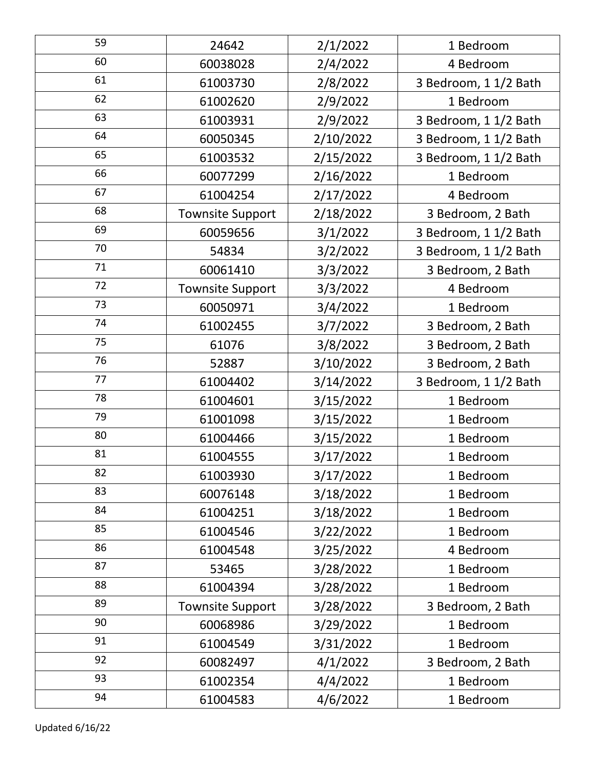| 59 | 24642                   | 2/1/2022  | 1 Bedroom             |
|----|-------------------------|-----------|-----------------------|
| 60 | 60038028                | 2/4/2022  | 4 Bedroom             |
| 61 | 61003730                | 2/8/2022  | 3 Bedroom, 1 1/2 Bath |
| 62 | 61002620                | 2/9/2022  | 1 Bedroom             |
| 63 | 61003931                | 2/9/2022  | 3 Bedroom, 1 1/2 Bath |
| 64 | 60050345                | 2/10/2022 | 3 Bedroom, 1 1/2 Bath |
| 65 | 61003532                | 2/15/2022 | 3 Bedroom, 1 1/2 Bath |
| 66 | 60077299                | 2/16/2022 | 1 Bedroom             |
| 67 | 61004254                | 2/17/2022 | 4 Bedroom             |
| 68 | <b>Townsite Support</b> | 2/18/2022 | 3 Bedroom, 2 Bath     |
| 69 | 60059656                | 3/1/2022  | 3 Bedroom, 1 1/2 Bath |
| 70 | 54834                   | 3/2/2022  | 3 Bedroom, 1 1/2 Bath |
| 71 | 60061410                | 3/3/2022  | 3 Bedroom, 2 Bath     |
| 72 | <b>Townsite Support</b> | 3/3/2022  | 4 Bedroom             |
| 73 | 60050971                | 3/4/2022  | 1 Bedroom             |
| 74 | 61002455                | 3/7/2022  | 3 Bedroom, 2 Bath     |
| 75 | 61076                   | 3/8/2022  | 3 Bedroom, 2 Bath     |
| 76 | 52887                   | 3/10/2022 | 3 Bedroom, 2 Bath     |
| 77 | 61004402                | 3/14/2022 | 3 Bedroom, 1 1/2 Bath |
| 78 | 61004601                | 3/15/2022 | 1 Bedroom             |
| 79 | 61001098                | 3/15/2022 | 1 Bedroom             |
| 80 | 61004466                | 3/15/2022 | 1 Bedroom             |
| 81 | 61004555                | 3/17/2022 | 1 Bedroom             |
| 82 | 61003930                | 3/17/2022 | 1 Bedroom             |
| 83 | 60076148                | 3/18/2022 | 1 Bedroom             |
| 84 | 61004251                | 3/18/2022 | 1 Bedroom             |
| 85 | 61004546                | 3/22/2022 | 1 Bedroom             |
| 86 | 61004548                | 3/25/2022 | 4 Bedroom             |
| 87 | 53465                   | 3/28/2022 | 1 Bedroom             |
| 88 | 61004394                | 3/28/2022 | 1 Bedroom             |
| 89 | <b>Townsite Support</b> | 3/28/2022 | 3 Bedroom, 2 Bath     |
| 90 | 60068986                | 3/29/2022 | 1 Bedroom             |
| 91 | 61004549                | 3/31/2022 | 1 Bedroom             |
| 92 | 60082497                | 4/1/2022  | 3 Bedroom, 2 Bath     |
| 93 | 61002354                | 4/4/2022  | 1 Bedroom             |
| 94 | 61004583                | 4/6/2022  | 1 Bedroom             |